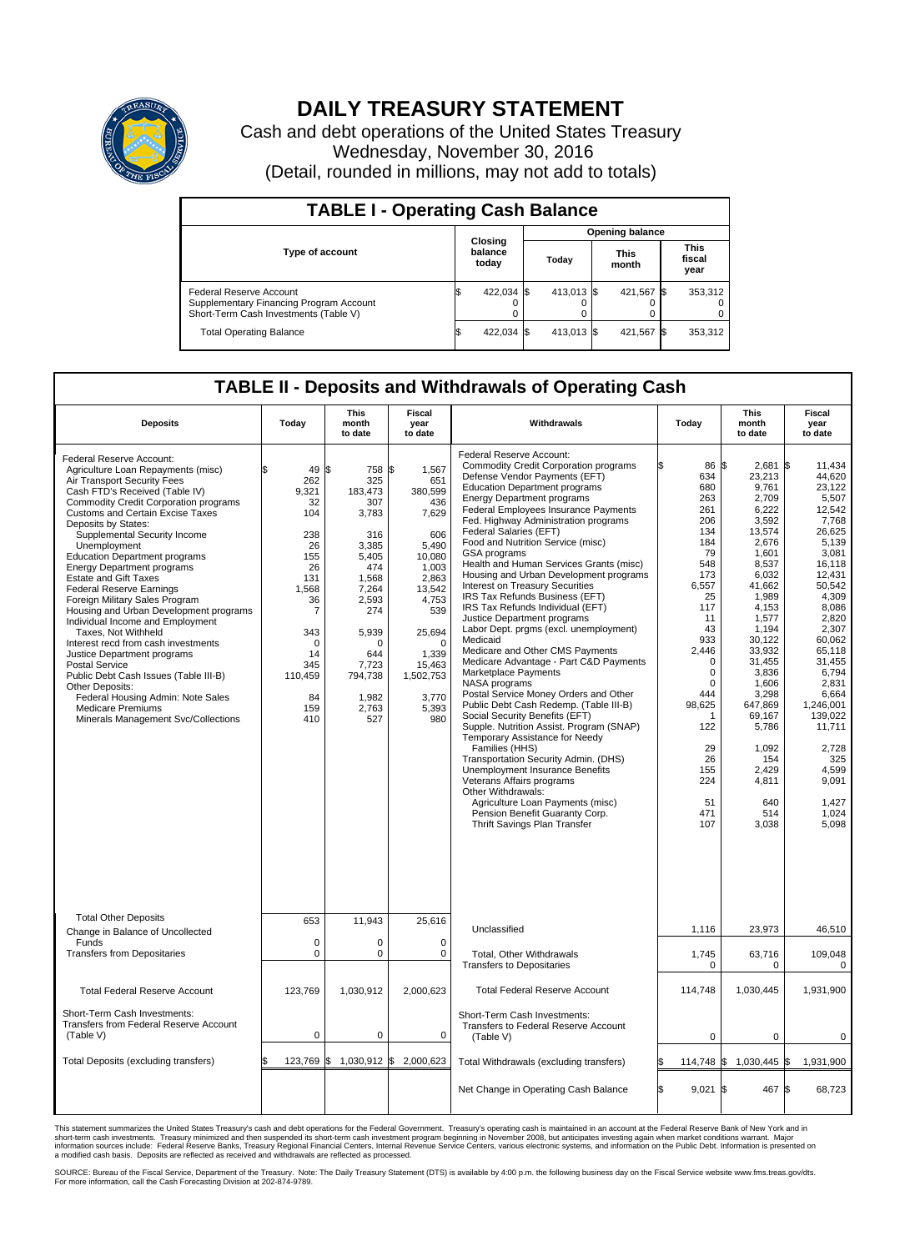

## **DAILY TREASURY STATEMENT**

Cash and debt operations of the United States Treasury Wednesday, November 30, 2016 (Detail, rounded in millions, may not add to totals)

| <b>TABLE I - Operating Cash Balance</b>                                                                     |    |                             |  |                        |  |                      |  |                               |  |  |  |
|-------------------------------------------------------------------------------------------------------------|----|-----------------------------|--|------------------------|--|----------------------|--|-------------------------------|--|--|--|
|                                                                                                             |    | Closing<br>balance<br>today |  | <b>Opening balance</b> |  |                      |  |                               |  |  |  |
| <b>Type of account</b>                                                                                      |    |                             |  | Today                  |  | <b>This</b><br>month |  | <b>This</b><br>fiscal<br>year |  |  |  |
| Federal Reserve Account<br>Supplementary Financing Program Account<br>Short-Term Cash Investments (Table V) |    | 422,034 \$                  |  | 413.013 \$             |  | 421.567 \$           |  | 353,312                       |  |  |  |
| <b>Total Operating Balance</b>                                                                              | ΙФ | 422,034 \$                  |  | 413.013 \$             |  | 421,567 \$           |  | 353,312                       |  |  |  |

## **TABLE II - Deposits and Withdrawals of Operating Cash**

| <b>Deposits</b>                                                                                                                                                                                                                                                                                                                                                                                                                                                                                                                                                                                                                                                                                                                                                                                                                                             | Today                                                                                                                                               | This<br>month<br>to date                                                                                                                                                        | <b>Fiscal</b><br>year<br>to date                                                                                                                                                                    | Withdrawals                                                                                                                                                                                                                                                                                                                                                                                                                                                                                                                                                                                                                                                                                                                                                                                                                                                                                                                                                                                                                                                                                                                                                                                                                    |     | <b>This</b><br>Today<br>month<br>to date                                                                                                                                                                                                           |                                                                                                                                                                                                                                                                                                 |     | Fiscal<br>year<br>to date                                                                                                                                                                                                                                                                                    |
|-------------------------------------------------------------------------------------------------------------------------------------------------------------------------------------------------------------------------------------------------------------------------------------------------------------------------------------------------------------------------------------------------------------------------------------------------------------------------------------------------------------------------------------------------------------------------------------------------------------------------------------------------------------------------------------------------------------------------------------------------------------------------------------------------------------------------------------------------------------|-----------------------------------------------------------------------------------------------------------------------------------------------------|---------------------------------------------------------------------------------------------------------------------------------------------------------------------------------|-----------------------------------------------------------------------------------------------------------------------------------------------------------------------------------------------------|--------------------------------------------------------------------------------------------------------------------------------------------------------------------------------------------------------------------------------------------------------------------------------------------------------------------------------------------------------------------------------------------------------------------------------------------------------------------------------------------------------------------------------------------------------------------------------------------------------------------------------------------------------------------------------------------------------------------------------------------------------------------------------------------------------------------------------------------------------------------------------------------------------------------------------------------------------------------------------------------------------------------------------------------------------------------------------------------------------------------------------------------------------------------------------------------------------------------------------|-----|----------------------------------------------------------------------------------------------------------------------------------------------------------------------------------------------------------------------------------------------------|-------------------------------------------------------------------------------------------------------------------------------------------------------------------------------------------------------------------------------------------------------------------------------------------------|-----|--------------------------------------------------------------------------------------------------------------------------------------------------------------------------------------------------------------------------------------------------------------------------------------------------------------|
| Federal Reserve Account:<br>Agriculture Loan Repayments (misc)<br>Air Transport Security Fees<br>Cash FTD's Received (Table IV)<br><b>Commodity Credit Corporation programs</b><br><b>Customs and Certain Excise Taxes</b><br>Deposits by States:<br>Supplemental Security Income<br>Unemployment<br><b>Education Department programs</b><br><b>Energy Department programs</b><br><b>Estate and Gift Taxes</b><br><b>Federal Reserve Earnings</b><br>Foreign Military Sales Program<br>Housing and Urban Development programs<br>Individual Income and Employment<br>Taxes. Not Withheld<br>Interest recd from cash investments<br>Justice Department programs<br><b>Postal Service</b><br>Public Debt Cash Issues (Table III-B)<br>Other Deposits:<br>Federal Housing Admin: Note Sales<br><b>Medicare Premiums</b><br>Minerals Management Svc/Collections | 49<br>262<br>9,321<br>32<br>104<br>238<br>26<br>155<br>26<br>131<br>1,568<br>36<br>7<br>343<br>$\Omega$<br>14<br>345<br>110,459<br>84<br>159<br>410 | S.<br>758<br>325<br>183,473<br>307<br>3,783<br>316<br>3.385<br>5,405<br>474<br>1,568<br>7,264<br>2.593<br>274<br>5,939<br>O<br>644<br>7,723<br>794,738<br>1,982<br>2,763<br>527 | l\$<br>1,567<br>651<br>380,599<br>436<br>7,629<br>606<br>5,490<br>10,080<br>1,003<br>2,863<br>13,542<br>4,753<br>539<br>25,694<br>$\Omega$<br>1,339<br>15,463<br>1,502,753<br>3,770<br>5,393<br>980 | Federal Reserve Account:<br><b>Commodity Credit Corporation programs</b><br>Defense Vendor Payments (EFT)<br><b>Education Department programs</b><br><b>Energy Department programs</b><br><b>Federal Employees Insurance Payments</b><br>Fed. Highway Administration programs<br>Federal Salaries (EFT)<br>Food and Nutrition Service (misc)<br>GSA programs<br>Health and Human Services Grants (misc)<br>Housing and Urban Development programs<br>Interest on Treasury Securities<br>IRS Tax Refunds Business (EFT)<br>IRS Tax Refunds Individual (EFT)<br>Justice Department programs<br>Labor Dept. prgms (excl. unemployment)<br>Medicaid<br>Medicare and Other CMS Payments<br>Medicare Advantage - Part C&D Payments<br>Marketplace Payments<br>NASA programs<br>Postal Service Money Orders and Other<br>Public Debt Cash Redemp. (Table III-B)<br>Social Security Benefits (EFT)<br>Supple. Nutrition Assist. Program (SNAP)<br>Temporary Assistance for Needy<br>Families (HHS)<br>Transportation Security Admin. (DHS)<br>Unemployment Insurance Benefits<br>Veterans Affairs programs<br>Other Withdrawals:<br>Agriculture Loan Payments (misc)<br>Pension Benefit Guaranty Corp.<br>Thrift Savings Plan Transfer |     | 86 \$<br>634<br>680<br>263<br>261<br>206<br>134<br>184<br>79<br>548<br>173<br>6,557<br>25<br>117<br>11<br>43<br>933<br>2,446<br>$\mathbf 0$<br>$\mathbf 0$<br>$\Omega$<br>444<br>98,625<br>-1<br>122<br>29<br>26<br>155<br>224<br>51<br>471<br>107 | 2,681<br>23,213<br>9.761<br>2,709<br>6.222<br>3,592<br>13,574<br>2,676<br>1.601<br>8,537<br>6,032<br>41,662<br>1,989<br>4.153<br>1,577<br>1,194<br>30,122<br>33,932<br>31,455<br>3,836<br>1.606<br>3,298<br>647,869<br>69,167<br>5,786<br>1,092<br>154<br>2,429<br>4,811<br>640<br>514<br>3,038 | 1\$ | 11,434<br>44.620<br>23.122<br>5,507<br>12.542<br>7,768<br>26.625<br>5,139<br>3,081<br>16,118<br>12,431<br>50,542<br>4,309<br>8.086<br>2,820<br>2,307<br>60,062<br>65.118<br>31,455<br>6,794<br>2.831<br>6.664<br>1,246,001<br>139,022<br>11,711<br>2,728<br>325<br>4,599<br>9.091<br>1.427<br>1.024<br>5,098 |
| <b>Total Other Deposits</b><br>Change in Balance of Uncollected                                                                                                                                                                                                                                                                                                                                                                                                                                                                                                                                                                                                                                                                                                                                                                                             | 653                                                                                                                                                 | 11,943                                                                                                                                                                          | 25,616                                                                                                                                                                                              | Unclassified                                                                                                                                                                                                                                                                                                                                                                                                                                                                                                                                                                                                                                                                                                                                                                                                                                                                                                                                                                                                                                                                                                                                                                                                                   |     | 1,116                                                                                                                                                                                                                                              | 23,973                                                                                                                                                                                                                                                                                          |     | 46,510                                                                                                                                                                                                                                                                                                       |
| Funds<br><b>Transfers from Depositaries</b>                                                                                                                                                                                                                                                                                                                                                                                                                                                                                                                                                                                                                                                                                                                                                                                                                 | $\mathbf 0$<br>0                                                                                                                                    | 0<br>0                                                                                                                                                                          | $\mathbf 0$<br>0                                                                                                                                                                                    | Total, Other Withdrawals<br><b>Transfers to Depositaries</b>                                                                                                                                                                                                                                                                                                                                                                                                                                                                                                                                                                                                                                                                                                                                                                                                                                                                                                                                                                                                                                                                                                                                                                   |     | 1,745<br>0                                                                                                                                                                                                                                         | 63,716<br>0                                                                                                                                                                                                                                                                                     |     | 109,048<br>0                                                                                                                                                                                                                                                                                                 |
| <b>Total Federal Reserve Account</b>                                                                                                                                                                                                                                                                                                                                                                                                                                                                                                                                                                                                                                                                                                                                                                                                                        | 123,769                                                                                                                                             | 1,030,912                                                                                                                                                                       | 2,000,623                                                                                                                                                                                           | <b>Total Federal Reserve Account</b>                                                                                                                                                                                                                                                                                                                                                                                                                                                                                                                                                                                                                                                                                                                                                                                                                                                                                                                                                                                                                                                                                                                                                                                           |     | 114,748                                                                                                                                                                                                                                            | 1,030,445                                                                                                                                                                                                                                                                                       |     | 1,931,900                                                                                                                                                                                                                                                                                                    |
| Short-Term Cash Investments:<br>Transfers from Federal Reserve Account<br>(Table V)                                                                                                                                                                                                                                                                                                                                                                                                                                                                                                                                                                                                                                                                                                                                                                         | $\mathbf 0$                                                                                                                                         | 0                                                                                                                                                                               | $\mathbf 0$                                                                                                                                                                                         | Short-Term Cash Investments:<br><b>Transfers to Federal Reserve Account</b><br>(Table V)                                                                                                                                                                                                                                                                                                                                                                                                                                                                                                                                                                                                                                                                                                                                                                                                                                                                                                                                                                                                                                                                                                                                       |     | $\mathbf 0$                                                                                                                                                                                                                                        | $\mathbf 0$                                                                                                                                                                                                                                                                                     |     | 0                                                                                                                                                                                                                                                                                                            |
| Total Deposits (excluding transfers)                                                                                                                                                                                                                                                                                                                                                                                                                                                                                                                                                                                                                                                                                                                                                                                                                        | \$<br>123,769                                                                                                                                       | $\frac{1}{2}$ 1,030,912 \$ 2,000,623                                                                                                                                            |                                                                                                                                                                                                     | Total Withdrawals (excluding transfers)                                                                                                                                                                                                                                                                                                                                                                                                                                                                                                                                                                                                                                                                                                                                                                                                                                                                                                                                                                                                                                                                                                                                                                                        |     | 114,748 \$                                                                                                                                                                                                                                         | 1,030,445 \$                                                                                                                                                                                                                                                                                    |     | 1,931,900                                                                                                                                                                                                                                                                                                    |
|                                                                                                                                                                                                                                                                                                                                                                                                                                                                                                                                                                                                                                                                                                                                                                                                                                                             |                                                                                                                                                     |                                                                                                                                                                                 |                                                                                                                                                                                                     | Net Change in Operating Cash Balance                                                                                                                                                                                                                                                                                                                                                                                                                                                                                                                                                                                                                                                                                                                                                                                                                                                                                                                                                                                                                                                                                                                                                                                           | l\$ | $9,021$ \$                                                                                                                                                                                                                                         | 467                                                                                                                                                                                                                                                                                             | l\$ | 68,723                                                                                                                                                                                                                                                                                                       |

This statement summarizes the United States Treasury's cash and debt operations for the Federal Government. Treasury's operating cash is maintained in an account at the Federal Reserve Bank of New York and in<br>short-term ca

SOURCE: Bureau of the Fiscal Service, Department of the Treasury. Note: The Daily Treasury Statement (DTS) is available by 4:00 p.m. the following business day on the Fiscal Service website www.fms.treas.gov/dts.<br>For more